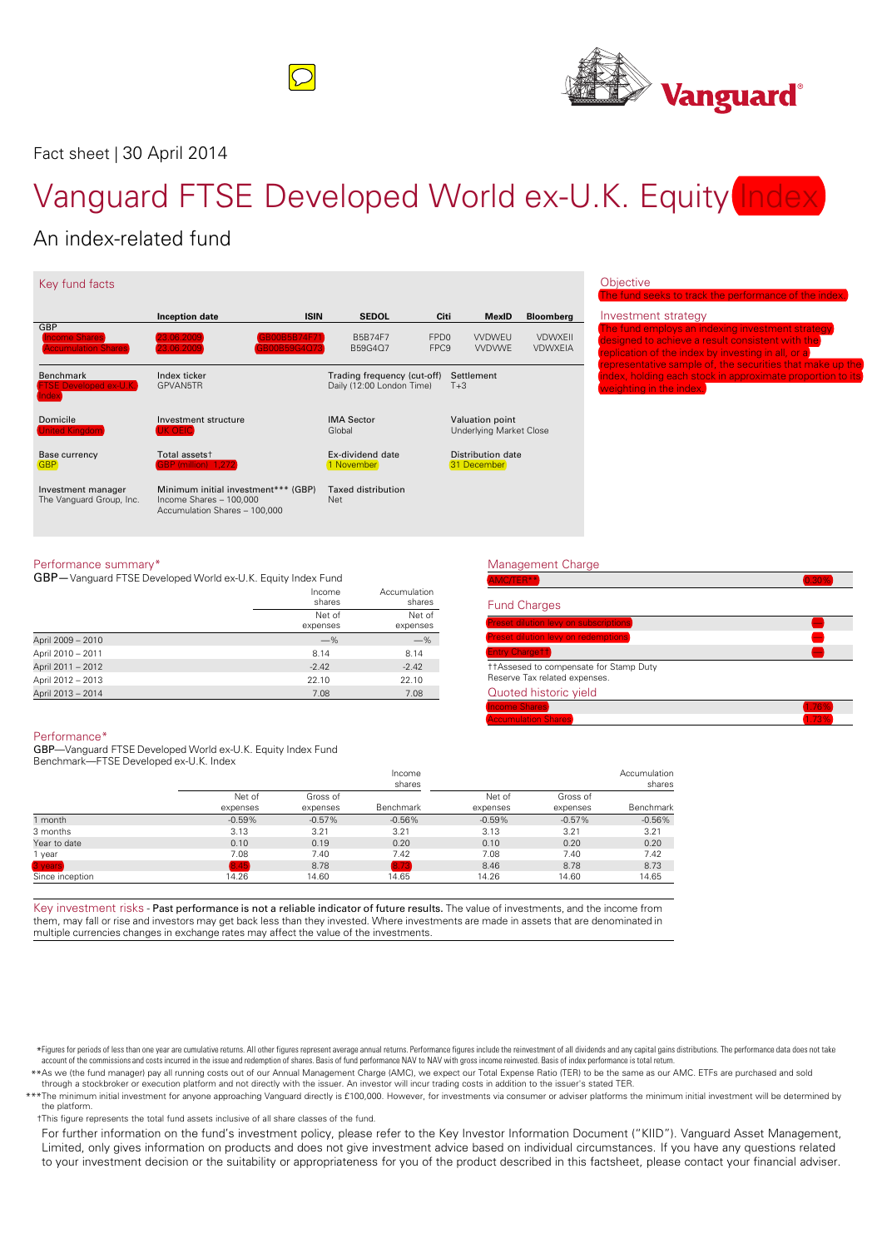



Fact sheet | 30 April 2014

# Vanguard FTSE Developed World ex-U.K. Equity Index

## An index-related fund

| Key fund facts                                              |                                                                                                 |                                                                   |                                                                    |
|-------------------------------------------------------------|-------------------------------------------------------------------------------------------------|-------------------------------------------------------------------|--------------------------------------------------------------------|
| GBP                                                         | <b>ISIN</b><br>Inception date                                                                   | <b>SEDOL</b><br>Citi                                              | <b>MexID</b><br><b>Bloomberg</b>                                   |
| <b>Income Shares</b><br><b>Accumulation Shares</b>          | 23.06.2009<br>GB00B5B74F71<br>23.06.2009<br>GB00B59G4Q73                                        | FPD <sub>0</sub><br><b>B5B74F7</b><br>FPC <sub>9</sub><br>B59G4Q7 | <b>VVDWFU</b><br><b>VDWXFII</b><br><b>VVDVWF</b><br><b>VDWXEIA</b> |
| <b>Benchmark</b><br><b>FTSE Developed ex-U.K.</b><br>Index. | Index ticker<br>GPVAN5TR                                                                        | Trading frequency (cut-off)<br>Daily (12:00 London Time)          | Settlement<br>$T + 3$                                              |
| Domicile<br><b>United Kingdom</b>                           | Investment structure<br>UK OEIC)                                                                | <b>IMA Sector</b><br>Global                                       | Valuation point<br><b>Underlying Market Close</b>                  |
| Base currency<br><b>GBP</b>                                 | Total assets <sup>+</sup><br><b>GBP</b> (million) 1,272                                         | Ex-dividend date<br>1 November                                    | Distribution date<br>31 December                                   |
| Investment manager<br>The Vanguard Group, Inc.              | Minimum initial investment*** (GBP)<br>Income Shares - 100,000<br>Accumulation Shares - 100,000 | <b>Taxed distribution</b><br>Net                                  |                                                                    |

### ective

| The fund seeks to track the performance of the index.      |
|------------------------------------------------------------|
| Investment strategy                                        |
| <b>The fund employs an indexing investment strategy</b>    |
| designed to achieve a result consistent with the           |
| replication of the index by investing in all, or a         |
| representative sample of, the securities that make up the  |
| index, holding each stock in approximate proportion to its |
| weighting in the index.                                    |
|                                                            |

#### Performance summary\*

GBP—Vanguard FTSE Developed World ex-U.K. Equity Index Fund

| Income   | Accumulation |
|----------|--------------|
| shares   | shares       |
| Net of   | Net of       |
| expenses | expenses     |
| $-\%$    | $-\%$        |
| 8.14     | 8.14         |
| $-2.42$  | $-2.42$      |
| 22.10    | 22.10        |
| 7.08     | 7.08         |
|          |              |

### Management Charge  $\mathsf{AMC/TER}^{\star\star}$  , and the contract of the contract of the contract of the contract of  $(0.30\%)$ Fund Charges Preset dilution levy on subscriptions — Preset dilution levy on redemptions — Entry Charge†† — ††Assesed to compensate for Stamp Duty Reserve Tax related expenses. Quoted historic yield Income Shares 1.76% Accumulation Shares **1.73%**

#### Performance\*

GBP—Vanguard FTSE Developed World ex-U.K. Equity Index Fund Benchmark—FTSE Developed ex-U.K. Index

|                 |                    | Income<br>shares     |           |                    |                      | Accumulation<br>shares |
|-----------------|--------------------|----------------------|-----------|--------------------|----------------------|------------------------|
|                 | Net of<br>expenses | Gross of<br>expenses | Benchmark | Net of<br>expenses | Gross of<br>expenses | Benchmark              |
| month           | $-0.59%$           | $-0.57%$             | $-0.56%$  | $-0.59%$           | $-0.57%$             | $-0.56%$               |
| 3 months        | 3.13               | 3.21                 | 3.21      | 3.13               | 3.21                 | 3.21                   |
| Year to date    | 0.10               | 0.19                 | 0.20      | 0.10               | 0.20                 | 0.20                   |
| year            | 7.08               | 7.40                 | 7.42      | 7.08               | 7.40                 | 7.42                   |
| 3 years)        | 8.45               | 8.78                 | 8.73      | 8.46               | 8.78                 | 8.73                   |
| Since inception | 14.26              | 14.60                | 14.65     | 14.26              | 14.60                | 14.65                  |

Key investment risks - Past performance is not a reliable indicator of future results. The value of investments, and the income from them, may fall or rise and investors may get back less than they invested. Where investments are made in assets that are denominated in multiple currencies changes in exchange rates may affect the value of the investments.

\*Figures for periods of less than one year are cumulative returns. All other figures represent average annual returns. Performance figures include the reinvestment of all dividends and any capital gains distributions. The

\*\*As we (the fund manager) pay all running costs out of our Annual Management Charge (AMC), we expect our Total Expense Ratio (TER) to be the same as our AMC. ETFs are purchased and sold through a stockbroker or execution platform and notdirectly with the issuer. An investor will incur trading costs in addition to the issuer's stated TER.

\*\*\* The minimum initial investment for anyone approaching Vanguard directly is £100,000. However, for investments via consumer or adviser platforms the minimum initial investment will be determined by the platform.

†This figure represents the total fund assets inclusive of allshare classes of the fund.

For further information on the fund's investment policy, please refer to the Key Investor Information Document ("KIID"). Vanguard Asset Management, Limited, only gives information on products and does not give investment advice based on individual circumstances. If you have any questions related to your investment decision or the suitability or appropriateness for you of the product described in this factsheet, please contact your financial adviser.